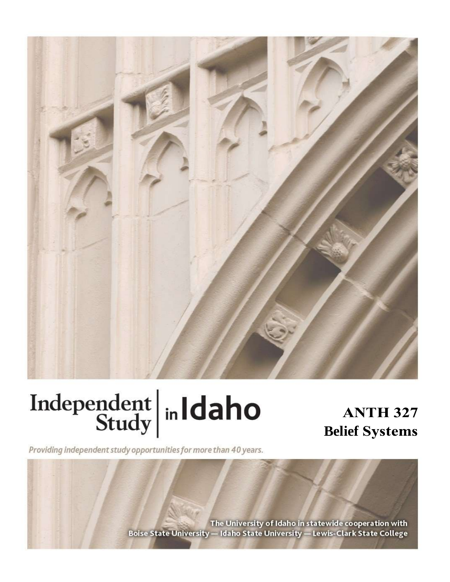

# Independent  $\left|\frac{\text{ind}}{\text{Study}}\right|$  in Idaho

# **ANTH 327 Belief**

Providing independent study opportunities for more than 40 years.

The University of Idaho in statewide cooperation with Boise State University - Idaho State University - Lewis-Clark State College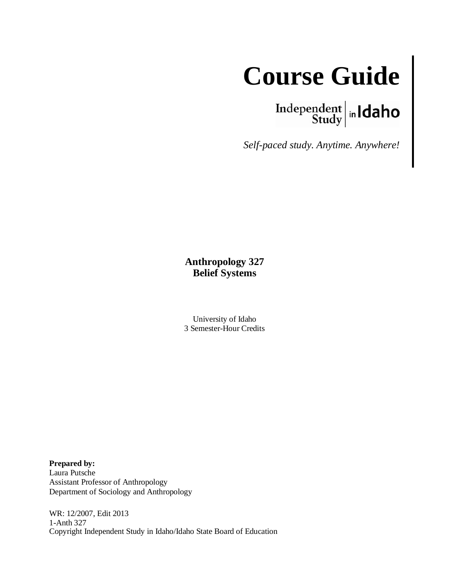

 $\left.\begin{array}{c|c} \textbf{Independent} & \textbf{h} \\ \textbf{Study} & \textbf{h} \end{array}\right.$ 

*Self-paced study. Anytime. Anywhere!*

#### **Anthropology 327 Belief Systems**

University of Idaho 3 Semester-Hour Credits

**Prepared by:** Laura Putsche Assistant Professor of Anthropology Department of Sociology and Anthropology

WR: 12/2007, Edit 2013 1-Anth 327 Copyright Independent Study in Idaho/Idaho State Board of Education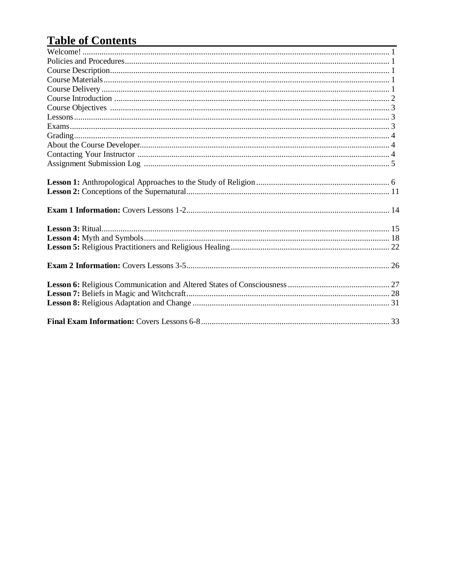# **Table of Contents**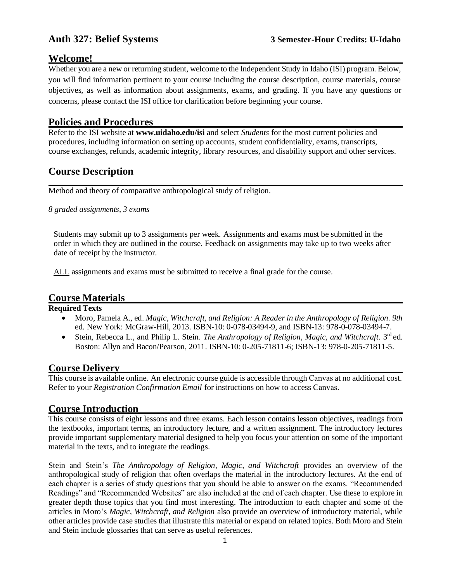#### **Welcome!**

Whether you are a new or returning student, welcome to the Independent Study in Idaho (ISI) program. Below, you will find information pertinent to your course including the course description, course materials, course objectives, as well as information about assignments, exams, and grading. If you have any questions or concerns, please contact the ISI office for clarification before beginning your course.

#### **Policies and Procedures**

Refer to the ISI website at **www.uidaho.edu/isi** and select *Students* for the most current policies and procedures, including information on setting up accounts, student confidentiality, exams, transcripts, course exchanges, refunds, academic integrity, library resources, and disability support and other services.

#### **Course Description**

Method and theory of comparative anthropological study of religion.

*8 graded assignments, 3 exams*

Students may submit up to 3 assignments per week. Assignments and exams must be submitted in the order in which they are outlined in the course. Feedback on assignments may take up to two weeks after date of receipt by the instructor.

ALL assignments and exams must be submitted to receive a final grade for the course.

#### **Course Materials**

#### **Required Texts**

- Moro, Pamela A., ed. *Magic, Witchcraft, and Religion: A Reader in the Anthropology of Religion. 9th* ed. New York: McGraw-Hill, 2013. ISBN-10: 0-078-03494-9, and ISBN-13: 978-0-078-03494-7.
- Stein, Rebecca L., and Philip L. Stein. *The Anthropology of Religion, Magic, and Witchcraft*. 3<sup>rd</sup> ed. Boston: Allyn and Bacon/Pearson, 2011. ISBN-10: 0-205-71811-6; ISBN-13: 978-0-205-71811-5.

#### **Course Delivery**

This course is available online. An electronic course guide is accessible through Canvas at no additional cost. Refer to your *Registration Confirmation Email* for instructions on how to access Canvas.

#### **Course Introduction**

This course consists of eight lessons and three exams. Each lesson contains lesson objectives, readings from the textbooks, important terms, an introductory lecture, and a written assignment. The introductory lectures provide important supplementary material designed to help you focus your attention on some of the important material in the texts, and to integrate the readings.

Stein and Stein's *The Anthropology of Religion, Magic, and Witchcraft* provides an overview of the anthropological study of religion that often overlaps the material in the introductory lectures. At the end of each chapter is a series of study questions that you should be able to answer on the exams. "Recommended Readings" and "Recommended Websites" are also included at the end of each chapter. Use these to explore in greater depth those topics that you find most interesting. The introduction to each chapter and some of the articles in Moro's *Magic, Witchcraft, and Religion* also provide an overview of introductory material, while other articles provide case studies that illustrate this material or expand on related topics. Both Moro and Stein and Stein include glossaries that can serve as useful references.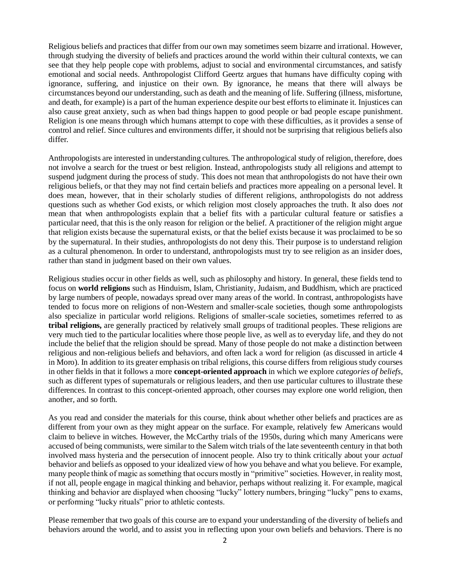Religious beliefs and practices that differ from our own may sometimes seem bizarre and irrational. However, through studying the diversity of beliefs and practices around the world within their cultural contexts, we can see that they help people cope with problems, adjust to social and environmental circumstances, and satisfy emotional and social needs. Anthropologist Clifford Geertz argues that humans have difficulty coping with ignorance, suffering, and injustice on their own. By ignorance, he means that there will always be circumstances beyond our understanding, such as death and the meaning of life. Suffering (illness, misfortune, and death, for example) is a part of the human experience despite our best efforts to eliminate it. Injustices can also cause great anxiety, such as when bad things happen to good people or bad people escape punishment. Religion is one means through which humans attempt to cope with these difficulties, as it provides a sense of control and relief. Since cultures and environments differ, it should not be surprising that religious beliefs also differ.

Anthropologists are interested in understanding cultures. The anthropological study of religion, therefore, does not involve a search for the truest or best religion. Instead, anthropologists study all religions and attempt to suspend judgment during the process of study. This does not mean that anthropologists do not have their own religious beliefs, or that they may not find certain beliefs and practices more appealing on a personal level. It does mean, however, that in their scholarly studies of different religions, anthropologists do not address questions such as whether God exists, or which religion most closely approaches the truth. It also does *not*  mean that when anthropologists explain that a belief fits with a particular cultural feature or satisfies a particular need, that this is the only reason for religion or the belief. A practitioner of the religion might argue that religion exists because the supernatural exists, or that the belief exists because it was proclaimed to be so by the supernatural. In their studies, anthropologists do not deny this. Their purpose is to understand religion as a cultural phenomenon. In order to understand, anthropologists must try to see religion as an insider does, rather than stand in judgment based on their own values.

Religious studies occur in other fields as well, such as philosophy and history. In general, these fields tend to focus on **world religions** such as Hinduism, Islam, Christianity, Judaism, and Buddhism, which are practiced by large numbers of people, nowadays spread over many areas of the world. In contrast, anthropologists have tended to focus more on religions of non-Western and smaller-scale societies, though some anthropologists also specialize in particular world religions. Religions of smaller-scale societies, sometimes referred to as **tribal religions,** are generally practiced by relatively small groups of traditional peoples. These religions are very much tied to the particular localities where those people live, as well as to everyday life, and they do not include the belief that the religion should be spread. Many of those people do not make a distinction between religious and non-religious beliefs and behaviors, and often lack a word for religion (as discussed in article 4 in Moro). In addition to its greater emphasis on tribal religions, this course differs from religious study courses in other fields in that it follows a more **concept-oriented approach** in which we explore *categories of beliefs,*  such as different types of supernaturals or religious leaders, and then use particular cultures to illustrate these differences. In contrast to this concept-oriented approach, other courses may explore one world religion, then another, and so forth.

As you read and consider the materials for this course, think about whether other beliefs and practices are as different from your own as they might appear on the surface. For example, relatively few Americans would claim to believe in witches. However, the McCarthy trials of the 1950s, during which many Americans were accused of being communists, were similar to the Salem witch trials of the late seventeenth century in that both involved mass hysteria and the persecution of innocent people. Also try to think critically about your *actual*  behavior and beliefs as opposed to your idealized view of how you behave and what you believe. For example, many people think of magic as something that occurs mostly in "primitive" societies. However, in reality most, if not all, people engage in magical thinking and behavior, perhaps without realizing it. For example, magical thinking and behavior are displayed when choosing "lucky" lottery numbers, bringing "lucky" pens to exams, or performing "lucky rituals" prior to athletic contests.

Please remember that two goals of this course are to expand your understanding of the diversity of beliefs and behaviors around the world, and to assist you in reflecting upon your own beliefs and behaviors. There is no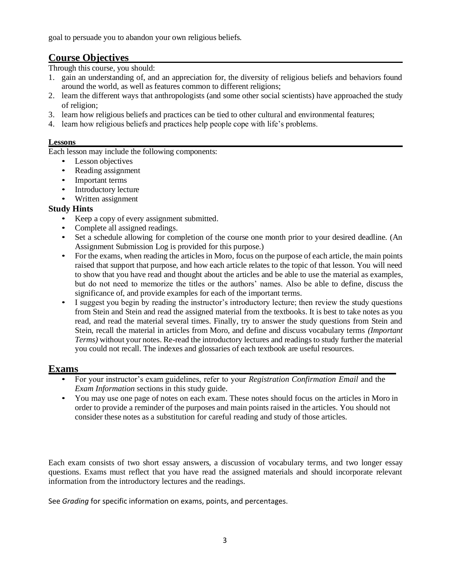goal to persuade you to abandon your own religious beliefs.

### **Course Objectives**

Through this course, you should:

- 1. gain an understanding of, and an appreciation for, the diversity of religious beliefs and behaviors found around the world, as well as features common to different religions;
- 2. learn the different ways that anthropologists (and some other social scientists) have approached the study of religion;
- 3. learn how religious beliefs and practices can be tied to other cultural and environmental features;
- 4. learn how religious beliefs and practices help people cope with life's problems.

#### **Lessons**

Each lesson may include the following components:

- Lesson objectives
- Reading assignment
- Important terms
- Introductory lecture
- Written assignment

#### **Study Hints**

- Keep a copy of every assignment submitted.
- Complete all assigned readings.
- Set a schedule allowing for completion of the course one month prior to your desired deadline. (An Assignment Submission Log is provided for this purpose.)
- For the exams, when reading the articles in Moro, focus on the purpose of each article, the main points raised that support that purpose, and how each article relates to the topic of that lesson. You will need to show that you have read and thought about the articles and be able to use the material as examples, but do not need to memorize the titles or the authors' names. Also be able to define, discuss the significance of, and provide examples for each of the important terms.
- I suggest you begin by reading the instructor's introductory lecture; then review the study questions from Stein and Stein and read the assigned material from the textbooks. It is best to take notes as you read, and read the material several times. Finally, try to answer the study questions from Stein and Stein, recall the material in articles from Moro, and define and discuss vocabulary terms *(Important Terms)* without your notes. Re-read the introductory lectures and readings to study further the material you could not recall. The indexes and glossaries of each textbook are useful resources.

#### **Exams**

- For your instructor's exam guidelines, refer to your *Registration Confirmation Email* and the *Exam Information* sections in this study guide.
- You may use one page of notes on each exam. These notes should focus on the articles in Moro in order to provide a reminder of the purposes and main points raised in the articles. You should not consider these notes as a substitution for careful reading and study of those articles.

Each exam consists of two short essay answers, a discussion of vocabulary terms, and two longer essay questions. Exams must reflect that you have read the assigned materials and should incorporate relevant information from the introductory lectures and the readings.

See *Grading* for specific information on exams, points, and percentages.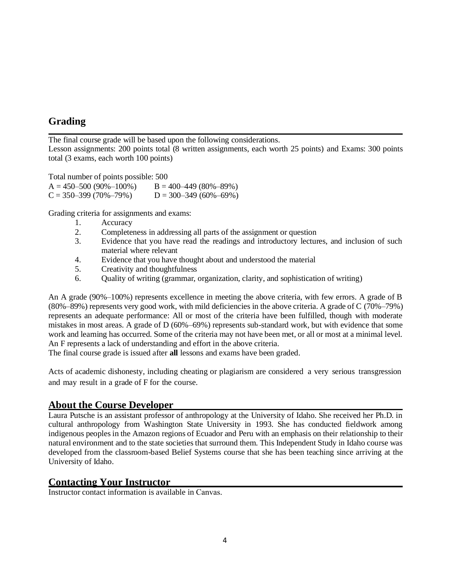### **Grading**

The final course grade will be based upon the following considerations.

Lesson assignments: 200 points total (8 written assignments, each worth 25 points) and Exams: 300 points total (3 exams, each worth 100 points)

Total number of points possible: 500  $A = 450-500 (90\% - 100\%)$   $B = 400-449 (80\% - 89\%)$  $C = 350-399(70\% - 79\%)$   $D = 300-349(60\% - 69\%)$ 

Grading criteria for assignments and exams:

- 1. Accuracy
- 2. Completeness in addressing all parts of the assignment or question
- 3. Evidence that you have read the readings and introductory lectures, and inclusion of such material where relevant
- 4. Evidence that you have thought about and understood the material
- 5. Creativity and thoughtfulness
- 6. Quality of writing (grammar, organization, clarity, and sophistication of writing)

An A grade (90%–100%) represents excellence in meeting the above criteria, with few errors. A grade of B (80%–89%) represents very good work, with mild deficiencies in the above criteria. A grade of C (70%–79%) represents an adequate performance: All or most of the criteria have been fulfilled, though with moderate mistakes in most areas. A grade of D (60%–69%) represents sub-standard work, but with evidence that some work and learning has occurred. Some of the criteria may not have been met, or all or most at a minimal level. An F represents a lack of understanding and effort in the above criteria.

The final course grade is issued after **all** lessons and exams have been graded.

Acts of academic dishonesty, including cheating or plagiarism are considered a very serious transgression and may result in a grade of F for the course.

#### **About the Course Developer**

Laura Putsche is an assistant professor of anthropology at the University of Idaho. She received her Ph.D. in cultural anthropology from Washington State University in 1993. She has conducted fieldwork among indigenous peoples in the Amazon regions of Ecuador and Peru with an emphasis on their relationship to their natural environment and to the state societies that surround them. This Independent Study in Idaho course was developed from the classroom-based Belief Systems course that she has been teaching since arriving at the University of Idaho.

#### **Contacting Your Instructor**

Instructor contact information is available in Canvas.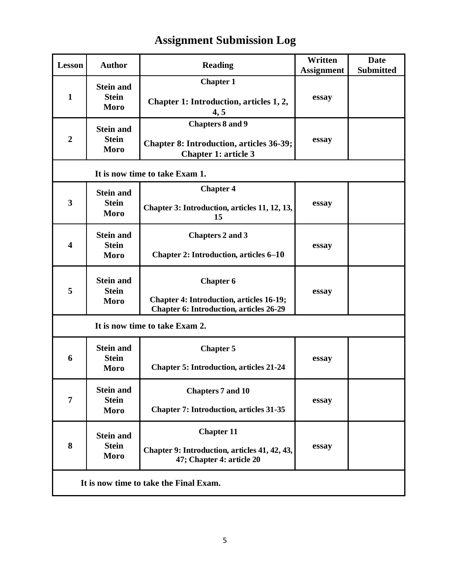| Lesson                                 | <b>Author</b>                                   | <b>Reading</b>                                                                                                        | Written<br><b>Assignment</b> | <b>Date</b><br><b>Submitted</b> |  |  |
|----------------------------------------|-------------------------------------------------|-----------------------------------------------------------------------------------------------------------------------|------------------------------|---------------------------------|--|--|
| $\mathbf{1}$                           | <b>Stein and</b><br><b>Stein</b><br>Moro        | <b>Chapter 1</b><br>Chapter 1: Introduction, articles 1, 2,<br>4, 5                                                   | essay                        |                                 |  |  |
| $\overline{2}$                         | <b>Stein and</b><br><b>Stein</b><br>Moro        | <b>Chapters 8 and 9</b><br><b>Chapter 8: Introduction, articles 36-39;</b><br><b>Chapter 1: article 3</b>             | essay                        |                                 |  |  |
| It is now time to take Exam 1.         |                                                 |                                                                                                                       |                              |                                 |  |  |
| 3                                      | <b>Stein and</b><br><b>Stein</b><br>Moro        | <b>Chapter 4</b><br>Chapter 3: Introduction, articles 11, 12, 13,<br>15                                               | essay                        |                                 |  |  |
| $\overline{\mathbf{4}}$                | <b>Stein and</b><br><b>Stein</b><br>Moro        | <b>Chapters 2 and 3</b><br><b>Chapter 2: Introduction, articles 6–10</b>                                              | essay                        |                                 |  |  |
| 5                                      | <b>Stein and</b><br><b>Stein</b><br>Moro        | <b>Chapter 6</b><br><b>Chapter 4: Introduction, articles 16-19;</b><br><b>Chapter 6: Introduction, articles 26-29</b> | essay                        |                                 |  |  |
| It is now time to take Exam 2.         |                                                 |                                                                                                                       |                              |                                 |  |  |
| 6                                      | <b>Stein and</b><br><b>Stein</b><br><b>Moro</b> | <b>Chapter 5</b><br><b>Chapter 5: Introduction, articles 21-24</b>                                                    | essay                        |                                 |  |  |
| $\overline{7}$                         | <b>Stein and</b><br><b>Stein</b><br>Moro        | Chapters 7 and 10<br><b>Chapter 7: Introduction, articles 31-35</b>                                                   | essay                        |                                 |  |  |
| 8                                      | <b>Stein and</b><br><b>Stein</b><br>Moro        | <b>Chapter 11</b><br>Chapter 9: Introduction, articles 41, 42, 43,<br>47; Chapter 4: article 20                       | essay                        |                                 |  |  |
| It is now time to take the Final Exam. |                                                 |                                                                                                                       |                              |                                 |  |  |

# **Assignment Submission Log**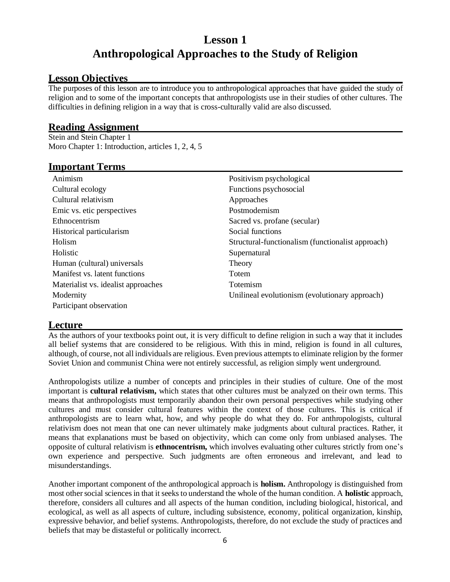## **Lesson 1 Anthropological Approaches to the Study of Religion**

#### **Lesson Objectives**

The purposes of this lesson are to introduce you to anthropological approaches that have guided the study of religion and to some of the important concepts that anthropologists use in their studies of other cultures. The difficulties in defining religion in a way that is cross-culturally valid are also discussed.

#### **Reading Assignment**

Stein and Stein Chapter 1 Moro Chapter 1: Introduction, articles 1, 2, 4, 5

#### **Important Terms**

| Animism                             | Positivism psychological                          |
|-------------------------------------|---------------------------------------------------|
| Cultural ecology                    | Functions psychosocial                            |
| Cultural relativism                 | Approaches                                        |
| Emic vs. etic perspectives          | Postmodernism                                     |
| Ethnocentrism                       | Sacred vs. profane (secular)                      |
| Historical particularism            | Social functions                                  |
| Holism                              | Structural-functionalism (functionalist approach) |
| Holistic                            | Supernatural                                      |
| Human (cultural) universals         | Theory                                            |
| Manifest vs. latent functions       | Totem                                             |
| Materialist vs. idealist approaches | <b>Totemism</b>                                   |
| Modernity                           | Unilineal evolutionism (evolutionary approach)    |
| Participant observation             |                                                   |

#### **Lecture**

As the authors of your textbooks point out, it is very difficult to define religion in such a way that it includes all belief systems that are considered to be religious. With this in mind, religion is found in all cultures, although, of course, not all individuals are religious. Even previous attempts to eliminate religion by the former Soviet Union and communist China were not entirely successful, as religion simply went underground.

Anthropologists utilize a number of concepts and principles in their studies of culture. One of the most important is **cultural relativism,** which states that other cultures must be analyzed on their own terms. This means that anthropologists must temporarily abandon their own personal perspectives while studying other cultures and must consider cultural features within the context of those cultures. This is critical if anthropologists are to learn what, how, and why people do what they do. For anthropologists, cultural relativism does not mean that one can never ultimately make judgments about cultural practices. Rather, it means that explanations must be based on objectivity, which can come only from unbiased analyses. The opposite of cultural relativism is **ethnocentrism,** which involves evaluating other cultures strictly from one's own experience and perspective. Such judgments are often erroneous and irrelevant, and lead to misunderstandings.

Another important component of the anthropological approach is **holism.** Anthropology is distinguished from most other social sciences in that it seeks to understand the whole of the human condition. A **holistic** approach, therefore, considers all cultures and all aspects of the human condition, including biological, historical, and ecological, as well as all aspects of culture, including subsistence, economy, political organization, kinship, expressive behavior, and belief systems. Anthropologists, therefore, do not exclude the study of practices and beliefs that may be distasteful or politically incorrect.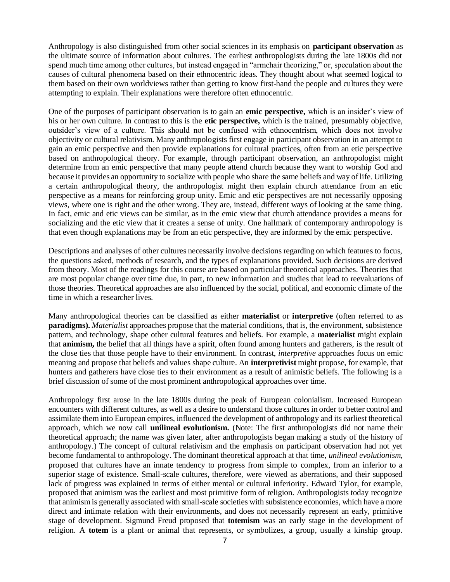Anthropology is also distinguished from other social sciences in its emphasis on **participant observation** as the ultimate source of information about cultures. The earliest anthropologists during the late 1800s did not spend much time among other cultures, but instead engaged in "armchair theorizing," or, speculation about the causes of cultural phenomena based on their ethnocentric ideas. They thought about what seemed logical to them based on their own worldviews rather than getting to know first-hand the people and cultures they were attempting to explain. Their explanations were therefore often ethnocentric.

One of the purposes of participant observation is to gain an **emic perspective,** which is an insider's view of his or her own culture. In contrast to this is the **etic perspective,** which is the trained, presumably objective, outsider's view of a culture. This should not be confused with ethnocentrism, which does not involve objectivity or cultural relativism. Many anthropologists first engage in participant observation in an attempt to gain an emic perspective and then provide explanations for cultural practices, often from an etic perspective based on anthropological theory. For example, through participant observation, an anthropologist might determine from an emic perspective that many people attend church because they want to worship God and because it provides an opportunity to socialize with people who share the same beliefs and way of life. Utilizing a certain anthropological theory, the anthropologist might then explain church attendance from an etic perspective as a means for reinforcing group unity. Emic and etic perspectives are not necessarily opposing views, where one is right and the other wrong. They are, instead, different ways of looking at the same thing. In fact, emic and etic views can be similar, as in the emic view that church attendance provides a means for socializing and the etic view that it creates a sense of unity. One hallmark of contemporary anthropology is that even though explanations may be from an etic perspective, they are informed by the emic perspective.

Descriptions and analyses of other cultures necessarily involve decisions regarding on which features to focus, the questions asked, methods of research, and the types of explanations provided. Such decisions are derived from theory. Most of the readings for this course are based on particular theoretical approaches. Theories that are most popular change over time due, in part, to new information and studies that lead to reevaluations of those theories. Theoretical approaches are also influenced by the social, political, and economic climate of the time in which a researcher lives.

Many anthropological theories can be classified as either **materialist** or **interpretive** (often referred to as **paradigms).** *Materialist* approaches propose that the material conditions, that is, the environment, subsistence pattern, and technology, shape other cultural features and beliefs. For example, a **materialist** might explain that **animism,** the belief that all things have a spirit, often found among hunters and gatherers, is the result of the close ties that those people have to their environment. In contrast, *interpretive* approaches focus on emic meaning and propose that beliefs and values shape culture. An **interpretivist** might propose, for example, that hunters and gatherers have close ties to their environment as a result of animistic beliefs. The following is a brief discussion of some of the most prominent anthropological approaches over time.

Anthropology first arose in the late 1800s during the peak of European colonialism. Increased European encounters with different cultures, as well as a desire to understand those cultures in order to better control and assimilate them into European empires, influenced the development of anthropology and its earliest theoretical approach, which we now call **unilineal evolutionism.** (Note: The first anthropologists did not name their theoretical approach; the name was given later, after anthropologists began making a study of the history of anthropology.) The concept of cultural relativism and the emphasis on participant observation had not yet become fundamental to anthropology. The dominant theoretical approach at that time, *unilineal evolutionism*, proposed that cultures have an innate tendency to progress from simple to complex, from an inferior to a superior stage of existence. Small-scale cultures, therefore, were viewed as aberrations, and their supposed lack of progress was explained in terms of either mental or cultural inferiority. Edward Tylor, for example, proposed that animism was the earliest and most primitive form of religion. Anthropologists today recognize that animism is generally associated with small-scale societies with subsistence economies, which have a more direct and intimate relation with their environments, and does not necessarily represent an early, primitive stage of development. Sigmund Freud proposed that **totemism** was an early stage in the development of religion. A **totem** is a plant or animal that represents, or symbolizes, a group, usually a kinship group.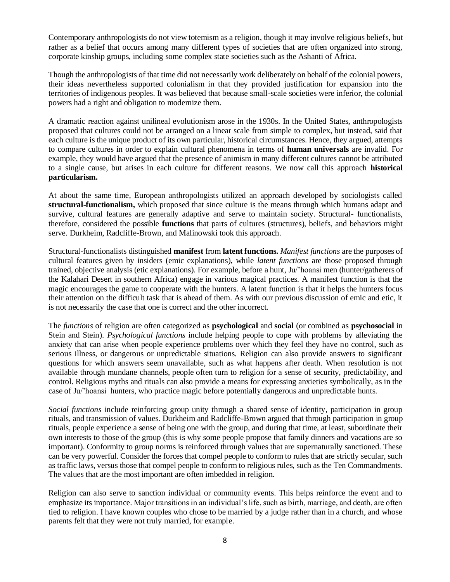Contemporary anthropologists do not view totemism as a religion, though it may involve religious beliefs, but rather as a belief that occurs among many different types of societies that are often organized into strong, corporate kinship groups, including some complex state societies such as the Ashanti of Africa.

Though the anthropologists of that time did not necessarily work deliberately on behalf of the colonial powers, their ideas nevertheless supported colonialism in that they provided justification for expansion into the territories of indigenous peoples. It was believed that because small-scale societies were inferior, the colonial powers had a right and obligation to modernize them.

A dramatic reaction against unilineal evolutionism arose in the 1930s. In the United States, anthropologists proposed that cultures could not be arranged on a linear scale from simple to complex, but instead, said that each culture is the unique product of its own particular, historical circumstances. Hence, they argued, attempts to compare cultures in order to explain cultural phenomena in terms of **human universals** are invalid. For example, they would have argued that the presence of animism in many different cultures cannot be attributed to a single cause, but arises in each culture for different reasons. We now call this approach **historical particularism.**

At about the same time, European anthropologists utilized an approach developed by sociologists called **structural-functionalism,** which proposed that since culture is the means through which humans adapt and survive, cultural features are generally adaptive and serve to maintain society. Structural- functionalists, therefore, considered the possible **functions** that parts of cultures (structures), beliefs, and behaviors might serve. Durkheim, Radcliffe-Brown, and Malinowski took this approach.

Structural-functionalists distinguished **manifest** from **latent functions.** *Manifest functions* are the purposes of cultural features given by insiders (emic explanations), while *latent functions* are those proposed through trained, objective analysis (etic explanations). For example, before a hunt, Ju/'hoansi men (hunter/gatherers of the Kalahari Desert in southern Africa) engage in various magical practices. A manifest function is that the magic encourages the game to cooperate with the hunters. A latent function is that it helps the hunters focus their attention on the difficult task that is ahead of them. As with our previous discussion of emic and etic, it is not necessarily the case that one is correct and the other incorrect.

The *functions* of religion are often categorized as **psychological** and **social** (or combined as **psychosocial** in Stein and Stein). *Psychological functions* include helping people to cope with problems by alleviating the anxiety that can arise when people experience problems over which they feel they have no control, such as serious illness, or dangerous or unpredictable situations. Religion can also provide answers to significant questions for which answers seem unavailable, such as what happens after death. When resolution is not available through mundane channels, people often turn to religion for a sense of security, predictability, and control. Religious myths and rituals can also provide a means for expressing anxieties symbolically, as in the case of Ju/'hoansi hunters, who practice magic before potentially dangerous and unpredictable hunts.

*Social functions* include reinforcing group unity through a shared sense of identity, participation in group rituals, and transmission of values. Durkheim and Radcliffe-Brown argued that through participation in group rituals, people experience a sense of being one with the group, and during that time, at least, subordinate their own interests to those of the group (this is why some people propose that family dinners and vacations are so important). Conformity to group norms is reinforced through values that are supernaturally sanctioned. These can be very powerful. Consider the forces that compel people to conform to rules that are strictly secular, such as traffic laws, versus those that compel people to conform to religious rules, such as the Ten Commandments. The values that are the most important are often imbedded in religion.

Religion can also serve to sanction individual or community events. This helps reinforce the event and to emphasize its importance. Major transitions in an individual's life, such as birth, marriage, and death, are often tied to religion. I have known couples who chose to be married by a judge rather than in a church, and whose parents felt that they were not truly married, for example.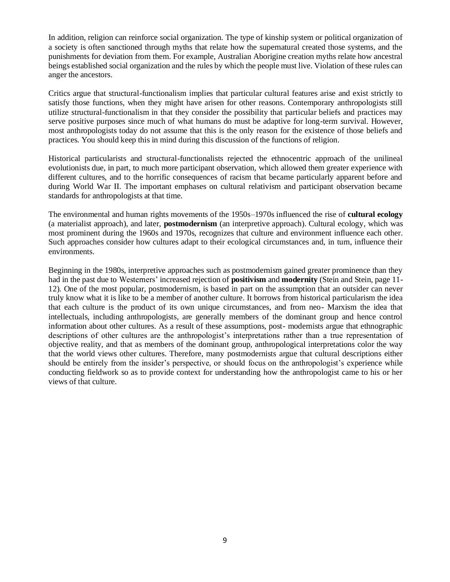In addition, religion can reinforce social organization. The type of kinship system or political organization of a society is often sanctioned through myths that relate how the supernatural created those systems, and the punishments for deviation from them. For example, Australian Aborigine creation myths relate how ancestral beings established social organization and the rules by which the people must live. Violation of these rules can anger the ancestors.

Critics argue that structural-functionalism implies that particular cultural features arise and exist strictly to satisfy those functions, when they might have arisen for other reasons. Contemporary anthropologists still utilize structural-functionalism in that they consider the possibility that particular beliefs and practices may serve positive purposes since much of what humans do must be adaptive for long-term survival. However, most anthropologists today do not assume that this is the only reason for the existence of those beliefs and practices. You should keep this in mind during this discussion of the functions of religion.

Historical particularists and structural-functionalists rejected the ethnocentric approach of the unilineal evolutionists due, in part, to much more participant observation, which allowed them greater experience with different cultures, and to the horrific consequences of racism that became particularly apparent before and during World War II. The important emphases on cultural relativism and participant observation became standards for anthropologists at that time.

The environmental and human rights movements of the 1950s–1970s influenced the rise of **cultural ecology**  (a materialist approach), and later, **postmodernism** (an interpretive approach). Cultural ecology, which was most prominent during the 1960s and 1970s, recognizes that culture and environment influence each other. Such approaches consider how cultures adapt to their ecological circumstances and, in turn, influence their environments.

Beginning in the 1980s, interpretive approaches such as postmodernism gained greater prominence than they had in the past due to Westerners' increased rejection of **positivism** and **modernity** (Stein and Stein, page 11- 12). One of the most popular, postmodernism, is based in part on the assumption that an outsider can never truly know what it is like to be a member of another culture. It borrows from historical particularism the idea that each culture is the product of its own unique circumstances, and from neo- Marxism the idea that intellectuals, including anthropologists, are generally members of the dominant group and hence control information about other cultures. As a result of these assumptions, post- modernists argue that ethnographic descriptions of other cultures are the anthropologist's interpretations rather than a true representation of objective reality, and that as members of the dominant group, anthropological interpretations color the way that the world views other cultures. Therefore, many postmodernists argue that cultural descriptions either should be entirely from the insider's perspective, or should focus on the anthropologist's experience while conducting fieldwork so as to provide context for understanding how the anthropologist came to his or her views of that culture.